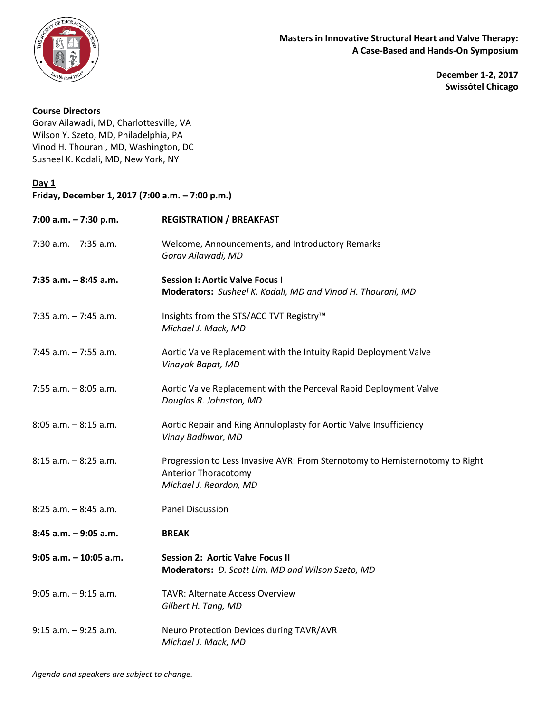

**December 1-2, 2017 Swissôtel Chicago**

## **Course Directors**

Gorav Ailawadi, MD, Charlottesville, VA Wilson Y. Szeto, MD, Philadelphia, PA Vinod H. Thourani, MD, Washington, DC Susheel K. Kodali, MD, New York, NY

## **Day 1**

| Friday, December 1, 2017 (7:00 a.m. - 7:00 p.m.) |                                                                                                                                       |  |
|--------------------------------------------------|---------------------------------------------------------------------------------------------------------------------------------------|--|
| 7:00 a.m. - 7:30 p.m.                            | <b>REGISTRATION / BREAKFAST</b>                                                                                                       |  |
| $7:30$ a.m. $-7:35$ a.m.                         | Welcome, Announcements, and Introductory Remarks<br>Gorav Ailawadi, MD                                                                |  |
| $7:35$ a.m. $-8:45$ a.m.                         | <b>Session I: Aortic Valve Focus I</b><br>Moderators: Susheel K. Kodali, MD and Vinod H. Thourani, MD                                 |  |
| $7:35$ a.m. $-7:45$ a.m.                         | Insights from the STS/ACC TVT Registry™<br>Michael J. Mack, MD                                                                        |  |
| $7:45$ a.m. $-7:55$ a.m.                         | Aortic Valve Replacement with the Intuity Rapid Deployment Valve<br>Vinayak Bapat, MD                                                 |  |
| $7:55$ a.m. $-8:05$ a.m.                         | Aortic Valve Replacement with the Perceval Rapid Deployment Valve<br>Douglas R. Johnston, MD                                          |  |
| $8:05$ a.m. $-8:15$ a.m.                         | Aortic Repair and Ring Annuloplasty for Aortic Valve Insufficiency<br>Vinay Badhwar, MD                                               |  |
| $8:15$ a.m. $-8:25$ a.m.                         | Progression to Less Invasive AVR: From Sternotomy to Hemisternotomy to Right<br><b>Anterior Thoracotomy</b><br>Michael J. Reardon, MD |  |
| $8:25$ a.m. $-8:45$ a.m.                         | <b>Panel Discussion</b>                                                                                                               |  |
| $8:45$ a.m. $-9:05$ a.m.                         | <b>BREAK</b>                                                                                                                          |  |
| $9:05$ a.m. $-10:05$ a.m.                        | <b>Session 2: Aortic Valve Focus II</b><br>Moderators: D. Scott Lim, MD and Wilson Szeto, MD                                          |  |
| $9:05$ a.m. $-9:15$ a.m.                         | <b>TAVR: Alternate Access Overview</b><br>Gilbert H. Tang, MD                                                                         |  |
| $9:15$ a.m. $-9:25$ a.m.                         | Neuro Protection Devices during TAVR/AVR<br>Michael J. Mack, MD                                                                       |  |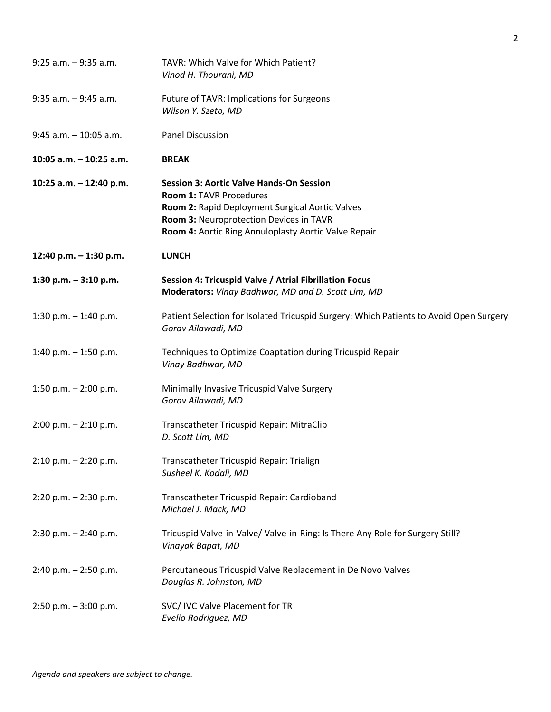| $9:25$ a.m. $-9:35$ a.m.  | TAVR: Which Valve for Which Patient?<br>Vinod H. Thourani, MD                                                                                                                                                                           |
|---------------------------|-----------------------------------------------------------------------------------------------------------------------------------------------------------------------------------------------------------------------------------------|
| $9:35$ a.m. $-9:45$ a.m.  | Future of TAVR: Implications for Surgeons<br>Wilson Y. Szeto, MD                                                                                                                                                                        |
| $9:45$ a.m. $-10:05$ a.m. | <b>Panel Discussion</b>                                                                                                                                                                                                                 |
| 10:05 a.m. - 10:25 a.m.   | <b>BREAK</b>                                                                                                                                                                                                                            |
| 10:25 a.m. - 12:40 p.m.   | <b>Session 3: Aortic Valve Hands-On Session</b><br><b>Room 1: TAVR Procedures</b><br>Room 2: Rapid Deployment Surgical Aortic Valves<br>Room 3: Neuroprotection Devices in TAVR<br>Room 4: Aortic Ring Annuloplasty Aortic Valve Repair |
| 12:40 p.m. - 1:30 p.m.    | <b>LUNCH</b>                                                                                                                                                                                                                            |
| 1:30 p.m. $-3:10$ p.m.    | Session 4: Tricuspid Valve / Atrial Fibrillation Focus<br>Moderators: Vinay Badhwar, MD and D. Scott Lim, MD                                                                                                                            |
| 1:30 p.m. $-$ 1:40 p.m.   | Patient Selection for Isolated Tricuspid Surgery: Which Patients to Avoid Open Surgery<br>Gorav Ailawadi, MD                                                                                                                            |
| 1:40 p.m. $-$ 1:50 p.m.   | Techniques to Optimize Coaptation during Tricuspid Repair<br>Vinay Badhwar, MD                                                                                                                                                          |
| 1:50 p.m. $-$ 2:00 p.m.   | Minimally Invasive Tricuspid Valve Surgery<br>Gorav Ailawadi, MD                                                                                                                                                                        |
| $2:00$ p.m. $-2:10$ p.m.  | Transcatheter Tricuspid Repair: MitraClip<br>D. Scott Lim, MD                                                                                                                                                                           |
| $2:10$ p.m. $-2:20$ p.m.  | Transcatheter Tricuspid Repair: Trialign<br>Susheel K. Kodali, MD                                                                                                                                                                       |
| $2:20$ p.m. $-2:30$ p.m.  | Transcatheter Tricuspid Repair: Cardioband<br>Michael J. Mack, MD                                                                                                                                                                       |
| $2:30$ p.m. $-2:40$ p.m.  | Tricuspid Valve-in-Valve/ Valve-in-Ring: Is There Any Role for Surgery Still?<br>Vinayak Bapat, MD                                                                                                                                      |
| $2:40$ p.m. $-2:50$ p.m.  | Percutaneous Tricuspid Valve Replacement in De Novo Valves<br>Douglas R. Johnston, MD                                                                                                                                                   |
| $2:50$ p.m. $-3:00$ p.m.  | SVC/ IVC Valve Placement for TR<br>Evelio Rodriguez, MD                                                                                                                                                                                 |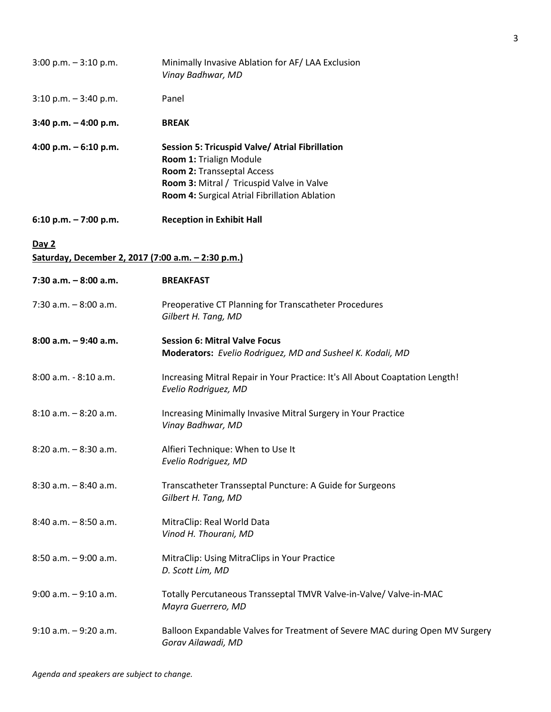| $3:00$ p.m. $-3:10$ p.m.                                    | Minimally Invasive Ablation for AF/ LAA Exclusion<br>Vinay Badhwar, MD                                                                                                                                 |
|-------------------------------------------------------------|--------------------------------------------------------------------------------------------------------------------------------------------------------------------------------------------------------|
| $3:10$ p.m. $-3:40$ p.m.                                    | Panel                                                                                                                                                                                                  |
| $3:40$ p.m. $-4:00$ p.m.                                    | <b>BREAK</b>                                                                                                                                                                                           |
| 4:00 p.m. $-6:10$ p.m.                                      | Session 5: Tricuspid Valve/ Atrial Fibrillation<br>Room 1: Trialign Module<br>Room 2: Transseptal Access<br>Room 3: Mitral / Tricuspid Valve in Valve<br>Room 4: Surgical Atrial Fibrillation Ablation |
| 6:10 p.m. $-7:00$ p.m.                                      | <b>Reception in Exhibit Hall</b>                                                                                                                                                                       |
| Day 2<br>Saturday, December 2, 2017 (7:00 a.m. - 2:30 p.m.) |                                                                                                                                                                                                        |
| $7:30$ a.m. $-8:00$ a.m.                                    | <b>BREAKFAST</b>                                                                                                                                                                                       |
| $7:30$ a.m. $-8:00$ a.m.                                    | Preoperative CT Planning for Transcatheter Procedures<br>Gilbert H. Tang, MD                                                                                                                           |
| 8:00 a.m. - 9:40 a.m.                                       | <b>Session 6: Mitral Valve Focus</b><br>Moderators: Evelio Rodriguez, MD and Susheel K. Kodali, MD                                                                                                     |
| 8:00 a.m. - 8:10 a.m.                                       | Increasing Mitral Repair in Your Practice: It's All About Coaptation Length!<br>Evelio Rodriguez, MD                                                                                                   |
| $8:10$ a.m. $-8:20$ a.m.                                    | Increasing Minimally Invasive Mitral Surgery in Your Practice<br>Vinay Badhwar, MD                                                                                                                     |
| $8:20$ a.m. $-8:30$ a.m.                                    | Alfieri Technique: When to Use It<br>Evelio Rodriguez, MD                                                                                                                                              |
| $8:30$ a.m. $-8:40$ a.m.                                    | Transcatheter Transseptal Puncture: A Guide for Surgeons<br>Gilbert H. Tang, MD                                                                                                                        |
| $8:40$ a.m. $-8:50$ a.m.                                    | MitraClip: Real World Data<br>Vinod H. Thourani, MD                                                                                                                                                    |
| $8:50$ a.m. $-9:00$ a.m.                                    | MitraClip: Using MitraClips in Your Practice<br>D. Scott Lim, MD                                                                                                                                       |
| $9:00$ a.m. $-9:10$ a.m.                                    | Totally Percutaneous Transseptal TMVR Valve-in-Valve/ Valve-in-MAC<br>Mayra Guerrero, MD                                                                                                               |
| $9:10$ a.m. $-9:20$ a.m.                                    | Balloon Expandable Valves for Treatment of Severe MAC during Open MV Surgery<br>Gorav Ailawadi, MD                                                                                                     |